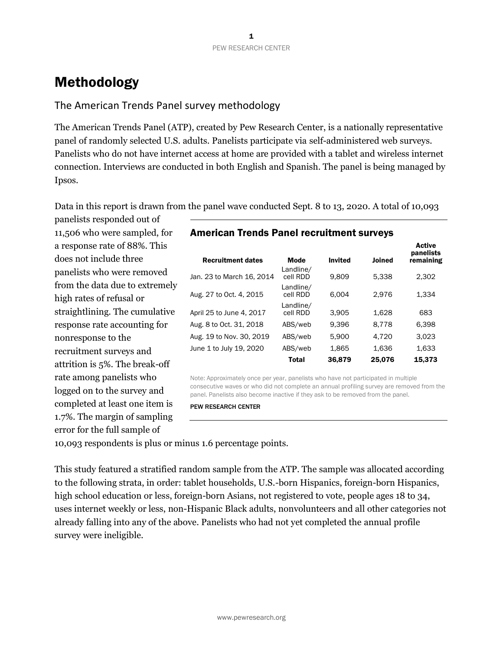# Methodology

### The American Trends Panel survey methodology

The American Trends Panel (ATP), created by Pew Research Center, is a nationally representative panel of randomly selected U.S. adults. Panelists participate via self-administered web surveys. Panelists who do not have internet access at home are provided with a tablet and wireless internet connection. Interviews are conducted in both English and Spanish. The panel is being managed by Ipsos.

Data in this report is drawn from the panel wave conducted Sept. 8 to 13, 2020. A total of 10,093

panelists responded out of 11,506 who were sampled, for a response rate of 88%. This does not include three panelists who were removed from the data due to extremely high rates of refusal or straightlining. The cumulative response rate accounting for nonresponse to the recruitment surveys and attrition is 5%. The break-off rate among panelists who logged on to the survey and completed at least one item is 1.7%. The margin of sampling error for the full sample of

| <b>Recruitment dates</b>  | Mode                  | <b>Invited</b> | Joined | 73311<br>panelists<br>remaining |
|---------------------------|-----------------------|----------------|--------|---------------------------------|
| Jan. 23 to March 16, 2014 | Landline/<br>cell RDD | 9.809          | 5,338  | 2,302                           |
| Aug. 27 to Oct. 4, 2015   | Landline/<br>cell RDD | 6.004          | 2.976  | 1,334                           |
| April 25 to June 4, 2017  | Landline/<br>cell RDD | 3,905          | 1,628  | 683                             |
| Aug. 8 to Oct. 31, 2018   | ABS/web               | 9.396          | 8,778  | 6,398                           |
| Aug. 19 to Nov. 30, 2019  | ABS/web               | 5,900          | 4.720  | 3,023                           |
| June 1 to July 19, 2020   | ABS/web               | 1,865          | 1,636  | 1,633                           |
|                           | <b>Total</b>          | 36,879         | 25,076 | 15,373                          |

**Active** 

American Trends Panel recruitment surveys

Note: Approximately once per year, panelists who have not participated in multiple consecutive waves or who did not complete an annual profiling survey are removed from the panel. Panelists also become inactive if they ask to be removed from the panel.

PEW RESEARCH CENTER

10,093 respondents is plus or minus 1.6 percentage points.

This study featured a stratified random sample from the ATP. The sample was allocated according to the following strata, in order: tablet households, U.S.-born Hispanics, foreign-born Hispanics, high school education or less, foreign-born Asians, not registered to vote, people ages 18 to 34, uses internet weekly or less, non-Hispanic Black adults, nonvolunteers and all other categories not already falling into any of the above. Panelists who had not yet completed the annual profile survey were ineligible.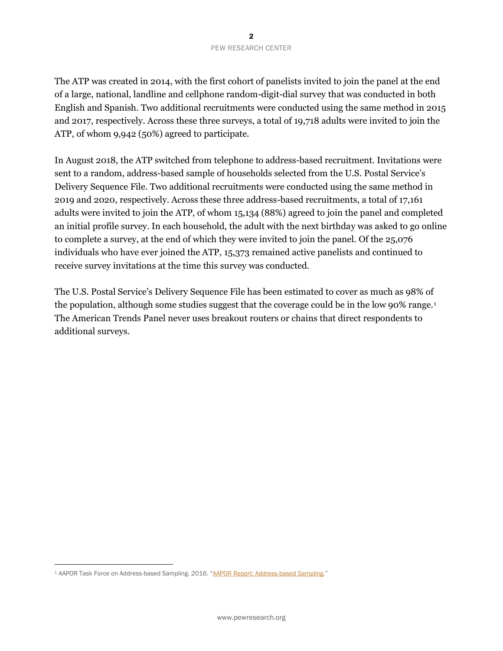The ATP was created in 2014, with the first cohort of panelists invited to join the panel at the end of a large, national, landline and cellphone random-digit-dial survey that was conducted in both English and Spanish. Two additional recruitments were conducted using the same method in 2015 and 2017, respectively. Across these three surveys, a total of 19,718 adults were invited to join the ATP, of whom 9,942 (50%) agreed to participate.

In August 2018, the ATP switched from telephone to address-based recruitment. Invitations were sent to a random, address-based sample of households selected from the U.S. Postal Service's Delivery Sequence File. Two additional recruitments were conducted using the same method in 2019 and 2020, respectively. Across these three address-based recruitments, a total of 17,161 adults were invited to join the ATP, of whom 15,134 (88%) agreed to join the panel and completed an initial profile survey. In each household, the adult with the next birthday was asked to go online to complete a survey, at the end of which they were invited to join the panel. Of the 25,076 individuals who have ever joined the ATP, 15,373 remained active panelists and continued to receive survey invitations at the time this survey was conducted.

The U.S. Postal Service's Delivery Sequence File has been estimated to cover as much as 98% of the population, although some studies suggest that the coverage could be in the low 90% range.<sup>1</sup> The American Trends Panel never uses breakout routers or chains that direct respondents to additional surveys.

<sup>&</sup>lt;sup>1</sup> AAPOR Task Force on Address-based Sampling. 2016. "[AAPOR Report: Address-based Sampling](https://www.aapor.org/Education-Resources/Reports/Address-based-Sampling.aspx)."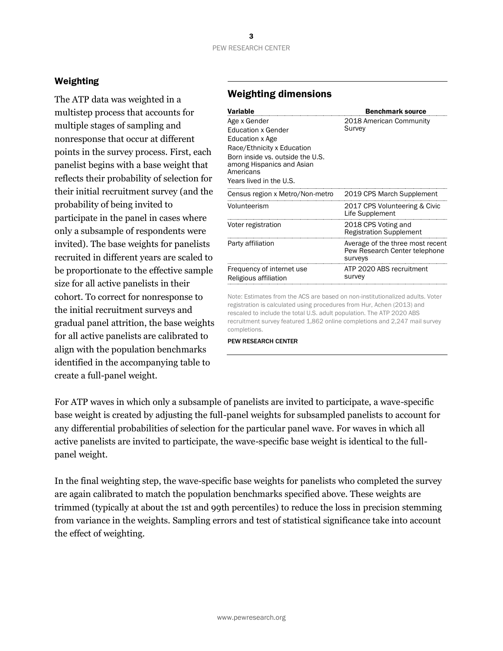### Weighting

The ATP data was weighted in a multistep process that accounts for multiple stages of sampling and nonresponse that occur at different points in the survey process. First, each panelist begins with a base weight that reflects their probability of selection for their initial recruitment survey (and the probability of being invited to participate in the panel in cases where only a subsample of respondents were invited). The base weights for panelists recruited in different years are scaled to be proportionate to the effective sample size for all active panelists in their cohort. To correct for nonresponse to the initial recruitment surveys and gradual panel attrition, the base weights for all active panelists are calibrated to align with the population benchmarks identified in the accompanying table to create a full-panel weight.

## Weighting dimensions

| Variable                                                                                                                                                                                                   | <b>Benchmark source</b>                                                      |
|------------------------------------------------------------------------------------------------------------------------------------------------------------------------------------------------------------|------------------------------------------------------------------------------|
| Age x Gender<br><b>Education x Gender</b><br><b>Education x Age</b><br>Race/Ethnicity x Education<br>Born inside vs. outside the U.S.<br>among Hispanics and Asian<br>Americans<br>Years lived in the U.S. | 2018 American Community<br>Survey                                            |
| Census region x Metro/Non-metro                                                                                                                                                                            | 2019 CPS March Supplement                                                    |
| Volunteerism                                                                                                                                                                                               | 2017 CPS Volunteering & Civic<br>Life Supplement                             |
| Voter registration                                                                                                                                                                                         | 2018 CPS Voting and<br><b>Registration Supplement</b>                        |
| Party affiliation                                                                                                                                                                                          | Average of the three most recent<br>Pew Research Center telephone<br>surveys |
| Frequency of internet use<br>Religious affiliation                                                                                                                                                         | ATP 2020 ABS recruitment<br>survey                                           |

Note: Estimates from the ACS are based on non-institutionalized adults. Voter registration is calculated using procedures from Hur, Achen (2013) and rescaled to include the total U.S. adult population. The ATP 2020 ABS recruitment survey featured 1,862 online completions and 2,247 mail survey completions.

PEW RESEARCH CENTER

For ATP waves in which only a subsample of panelists are invited to participate, a wave-specific base weight is created by adjusting the full-panel weights for subsampled panelists to account for any differential probabilities of selection for the particular panel wave. For waves in which all active panelists are invited to participate, the wave-specific base weight is identical to the fullpanel weight.

In the final weighting step, the wave-specific base weights for panelists who completed the survey are again calibrated to match the population benchmarks specified above. These weights are trimmed (typically at about the 1st and 99th percentiles) to reduce the loss in precision stemming from variance in the weights. Sampling errors and test of statistical significance take into account the effect of weighting.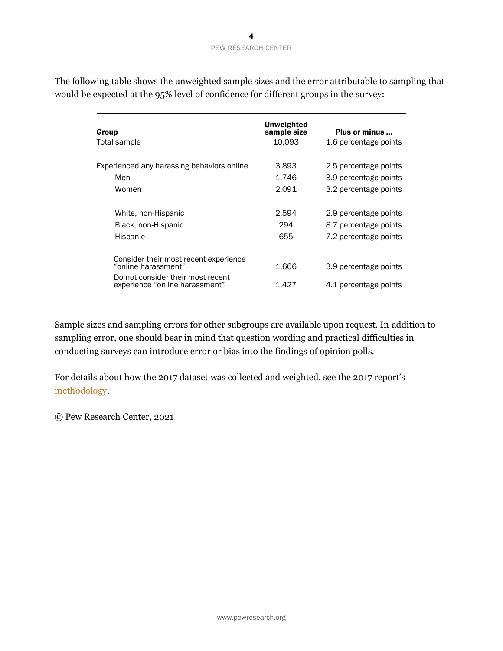The following table shows the unweighted sample sizes and the error attributable to sampling that would be expected at the 95% level of confidence for different groups in the survey:

| Group<br>Total sample                                               | Unweighted<br>sample size<br>10,093 | Plus or minus<br>1.6 percentage points |
|---------------------------------------------------------------------|-------------------------------------|----------------------------------------|
| Experienced any harassing behaviors online                          | 3,893                               | 2.5 percentage points                  |
| Men                                                                 | 1,746                               | 3.9 percentage points                  |
| Women                                                               | 2,091                               | 3.2 percentage points                  |
| White, non-Hispanic                                                 | 2,594                               | 2.9 percentage points                  |
| Black, non-Hispanic                                                 | 294                                 | 8.7 percentage points                  |
| Hispanic                                                            | 655                                 | 7.2 percentage points                  |
| Consider their most recent experience<br>"online harassment"        | 1,666                               | 3.9 percentage points                  |
| Do not consider their most recent<br>experience "online harassment" | 1,427                               | 4.1 percentage points                  |

Sample sizes and sampling errors for other subgroups are available upon request. In addition to sampling error, one should bear in mind that question wording and practical difficulties in conducting surveys can introduce error or bias into the findings of opinion polls.

For details about how the 2017 dataset was collected and weighted, see the 2017 report's [methodology.](https://www.pewresearch.org/internet/2017/07/11/online-harassment-2017-methodology/)

© Pew Research Center, 2021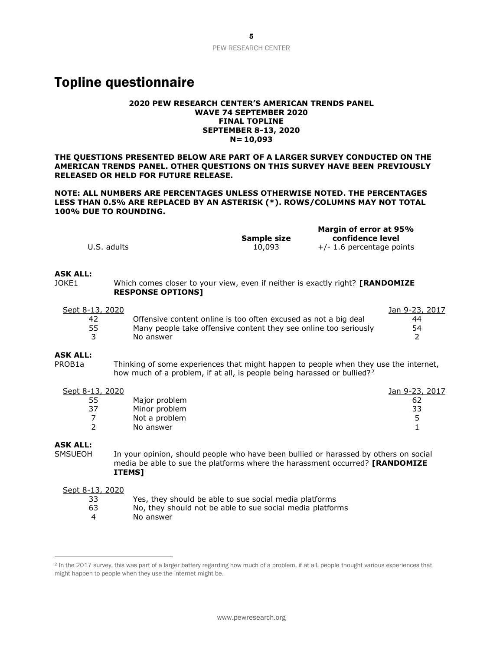# Topline questionnaire

#### **2020 PEW RESEARCH CENTER'S AMERICAN TRENDS PANEL WAVE 74 SEPTEMBER 2020 FINAL TOPLINE SEPTEMBER 8-13, 2020 N= 10,093**

**THE QUESTIONS PRESENTED BELOW ARE PART OF A LARGER SURVEY CONDUCTED ON THE AMERICAN TRENDS PANEL. OTHER QUESTIONS ON THIS SURVEY HAVE BEEN PREVIOUSLY RELEASED OR HELD FOR FUTURE RELEASE.** 

**NOTE: ALL NUMBERS ARE PERCENTAGES UNLESS OTHERWISE NOTED. THE PERCENTAGES LESS THAN 0.5% ARE REPLACED BY AN ASTERISK (\*). ROWS/COLUMNS MAY NOT TOTAL 100% DUE TO ROUNDING.**

|             |             | Margin of error at 95%      |
|-------------|-------------|-----------------------------|
|             | Sample size | confidence level            |
| U.S. adults | 10,093      | $+/- 1.6$ percentage points |

#### **ASK ALL:**

JOKE1 Which comes closer to your view, even if neither is exactly right? **[RANDOMIZE RESPONSE OPTIONS]**

| Sept 8-13, 2020 |                                                                  | Jan 9-23, 2017 |
|-----------------|------------------------------------------------------------------|----------------|
| 42              | Offensive content online is too often excused as not a big deal  | 44             |
| 55              | Many people take offensive content they see online too seriously | 54             |
|                 | No answer                                                        |                |
|                 |                                                                  |                |

### **ASK ALL:**

PROB1a Thinking of some experiences that might happen to people when they use the internet, how much of a problem, if at all, is people being harassed or bullied?<sup>2</sup>

| Sept 8-13, 2020 |               | Jan 9-23, 2017 |
|-----------------|---------------|----------------|
| 55              | Major problem | 62             |
| 37              | Minor problem | 33             |
|                 | Not a problem |                |
|                 | No answer     |                |

### **ASK ALL:**

SMSUEOH In your opinion, should people who have been bullied or harassed by others on social media be able to sue the platforms where the harassment occurred? **[RANDOMIZE ITEMS]** 

#### Sept 8-13, 2020

- 33 Yes, they should be able to sue social media platforms
- 63 No, they should not be able to sue social media platforms
- 4 No answer

<sup>&</sup>lt;sup>2</sup> In the 2017 survey, this was part of a larger battery regarding how much of a problem, if at all, people thought various experiences that might happen to people when they use the internet might be.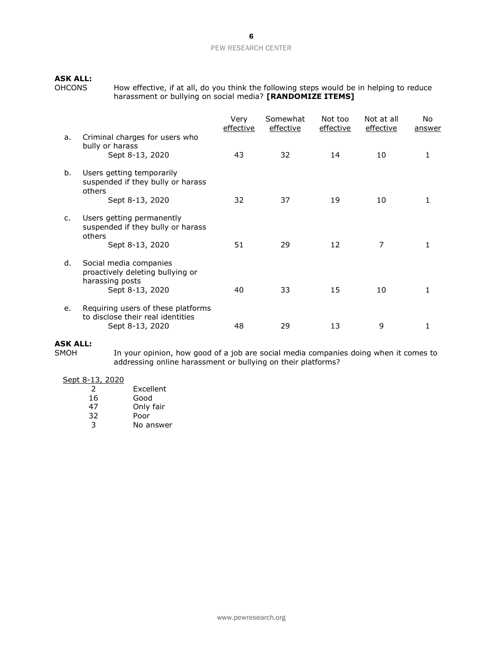### PEW RESEARCH CENTER

# **ASK ALL:**<br>OHCONS

OHCONS How effective, if at all, do you think the following steps would be in helping to reduce harassment or bullying on social media? **[RANDOMIZE ITEMS]**

|    |                                                                                                  | Very<br>effective | Somewhat<br>effective | Not too<br>effective | Not at all<br>effective | No.<br>answer |
|----|--------------------------------------------------------------------------------------------------|-------------------|-----------------------|----------------------|-------------------------|---------------|
| a. | Criminal charges for users who<br>bully or harass<br>Sept 8-13, 2020                             | 43                | 32                    | 14                   | 10                      | 1             |
| b. | Users getting temporarily<br>suspended if they bully or harass<br>others<br>Sept 8-13, 2020      | 32                | 37                    | 19                   | 10                      | 1             |
| c. | Users getting permanently<br>suspended if they bully or harass<br>others<br>Sept 8-13, 2020      | 51                | 29                    | 12                   | 7                       |               |
| d. | Social media companies<br>proactively deleting bullying or<br>harassing posts<br>Sept 8-13, 2020 | 40                | 33                    | 15                   | 10                      | 1             |
| e. | Requiring users of these platforms<br>to disclose their real identities<br>Sept 8-13, 2020       | 48                | 29                    | 13                   | 9                       | 1             |

# **ASK ALL:**

In your opinion, how good of a job are social media companies doing when it comes to addressing online harassment or bullying on their platforms?

### Sept 8-13, 2020

| 2  | Excellent |
|----|-----------|
| 16 | Good      |
| 47 | Only fair |
| 32 | Poor      |
| २  | No answer |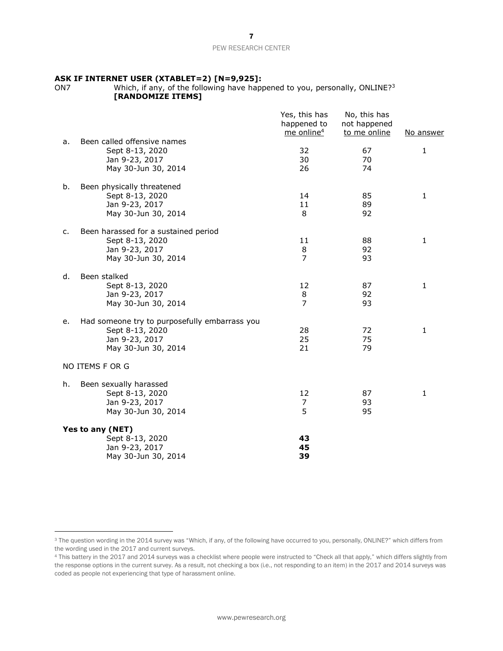### PEW RESEARCH CENTER

# **ASK IF INTERNET USER (XTABLET=2) [N=9,925]:**

Which, if any, of the following have happened to you, personally, ONLINE?<sup>3</sup> **[RANDOMIZE ITEMS]** 

|                                                                                                        |                                               | Yes, this has<br>happened to<br>me online <sup>4</sup> | No, this has<br>not happened<br>to me online | No answer    |
|--------------------------------------------------------------------------------------------------------|-----------------------------------------------|--------------------------------------------------------|----------------------------------------------|--------------|
| Been called offensive names<br>а.<br>Sept 8-13, 2020<br>Jan 9-23, 2017<br>May 30-Jun 30, 2014          |                                               | 32<br>30<br>26                                         | 67<br>70<br>74                               | 1            |
| Been physically threatened<br>b.<br>Sept 8-13, 2020<br>Jan 9-23, 2017<br>May 30-Jun 30, 2014           |                                               | 14<br>11<br>8                                          | 85<br>89<br>92                               | 1            |
| Been harassed for a sustained period<br>c.<br>Sept 8-13, 2020<br>Jan 9-23, 2017<br>May 30-Jun 30, 2014 |                                               | 11<br>8<br>$\overline{7}$                              | 88<br>92<br>93                               | 1            |
| Been stalked<br>d.<br>Sept 8-13, 2020<br>Jan 9-23, 2017<br>May 30-Jun 30, 2014                         |                                               | 12<br>8<br>7                                           | 87<br>92<br>93                               | $\mathbf{1}$ |
| е.<br>Sept 8-13, 2020<br>Jan 9-23, 2017<br>May 30-Jun 30, 2014                                         | Had someone try to purposefully embarrass you | 28<br>25<br>21                                         | 72<br>75<br>79                               | 1            |
| NO ITEMS F OR G                                                                                        |                                               |                                                        |                                              |              |
| Been sexually harassed<br>h.<br>Sept 8-13, 2020<br>Jan 9-23, 2017<br>May 30-Jun 30, 2014               |                                               | 12<br>7<br>5                                           | 87<br>93<br>95                               | 1            |
| Yes to any (NET)<br>Sept 8-13, 2020<br>Jan 9-23, 2017<br>May 30-Jun 30, 2014                           |                                               | 43<br>45<br>39                                         |                                              |              |

<sup>&</sup>lt;sup>3</sup> The question wording in the 2014 survey was "Which, if any, of the following have occurred to you, personally, ONLINE?" which differs from the wording used in the 2017 and current surveys.

<sup>4</sup> This battery in the 2017 and 2014 surveys was a checklist where people were instructed to "Check all that apply," which differs slightly from the response options in the current survey. As a result, not checking a box (i.e., not responding to an item) in the 2017 and 2014 surveys was coded as people not experiencing that type of harassment online.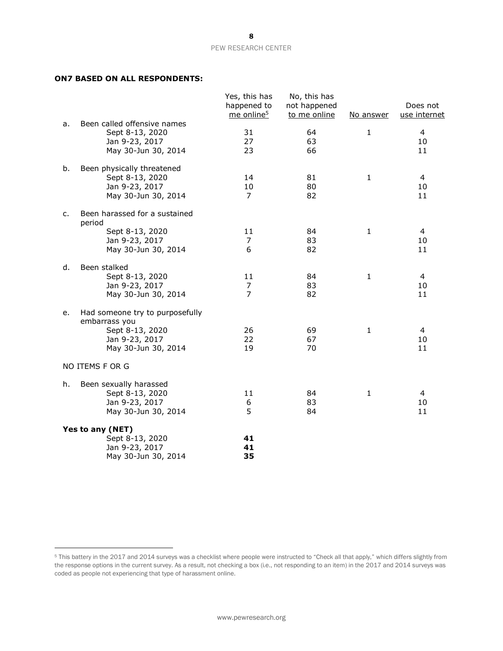### **ON7 BASED ON ALL RESPONDENTS:**

|    |                                                                                                              | Yes, this has<br>happened to<br>me online <sup>5</sup> | No, this has<br>not happened<br>to me online | No answer    | Does not<br>use internet |
|----|--------------------------------------------------------------------------------------------------------------|--------------------------------------------------------|----------------------------------------------|--------------|--------------------------|
| a. | Been called offensive names<br>Sept 8-13, 2020<br>Jan 9-23, 2017<br>May 30-Jun 30, 2014                      | 31<br>27<br>23                                         | 64<br>63<br>66                               | $\mathbf 1$  | 4<br>10<br>11            |
| b. | Been physically threatened<br>Sept 8-13, 2020<br>Jan 9-23, 2017<br>May 30-Jun 30, 2014                       | 14<br>10<br>$\overline{7}$                             | 81<br>80<br>82                               | $\mathbf{1}$ | 4<br>10<br>11            |
| c. | Been harassed for a sustained<br>period                                                                      |                                                        |                                              |              |                          |
|    | Sept 8-13, 2020<br>Jan 9-23, 2017<br>May 30-Jun 30, 2014                                                     | 11<br>7<br>6                                           | 84<br>83<br>82                               | $\mathbf{1}$ | 4<br>10<br>11            |
| d. | Been stalked<br>Sept 8-13, 2020<br>Jan 9-23, 2017<br>May 30-Jun 30, 2014                                     | 11<br>7<br>$\overline{7}$                              | 84<br>83<br>82                               | $\mathbf{1}$ | 4<br>10<br>11            |
| е. | Had someone try to purposefully<br>embarrass you<br>Sept 8-13, 2020<br>Jan 9-23, 2017<br>May 30-Jun 30, 2014 | 26<br>22<br>19                                         | 69<br>67<br>70                               | $\mathbf{1}$ | 4<br>10<br>11            |
|    | NO ITEMS F OR G                                                                                              |                                                        |                                              |              |                          |
| h. | Been sexually harassed<br>Sept 8-13, 2020<br>Jan 9-23, 2017<br>May 30-Jun 30, 2014                           | 11<br>6<br>5                                           | 84<br>83<br>84                               | 1            | 4<br>10<br>11            |
|    | Yes to any (NET)<br>Sept 8-13, 2020<br>Jan 9-23, 2017<br>May 30-Jun 30, 2014                                 | 41<br>41<br>35                                         |                                              |              |                          |

<sup>5</sup> This battery in the 2017 and 2014 surveys was a checklist where people were instructed to "Check all that apply," which differs slightly from the response options in the current survey. As a result, not checking a box (i.e., not responding to an item) in the 2017 and 2014 surveys was coded as people not experiencing that type of harassment online.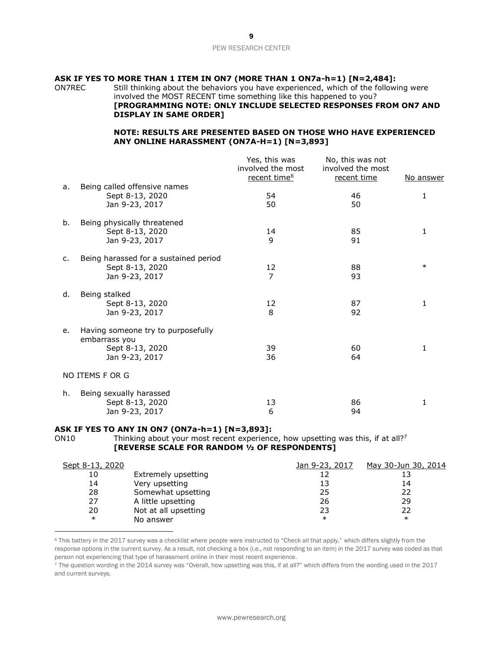### PEW RESEARCH CENTER

### **ASK IF YES TO MORE THAN 1 ITEM IN ON7 (MORE THAN 1 ON7a-h=1) [N=2,484]:**

ON7REC Still thinking about the behaviors you have experienced, which of the following were involved the MOST RECENT time something like this happened to you?

### **[PROGRAMMING NOTE: ONLY INCLUDE SELECTED RESPONSES FROM ON7 AND DISPLAY IN SAME ORDER]**

### **NOTE: RESULTS ARE PRESENTED BASED ON THOSE WHO HAVE EXPERIENCED ANY ONLINE HARASSMENT (ON7A-H=1) [N=3,893]**

|                |                                                 | Yes, this was<br>involved the most<br>recent time <sup>6</sup> | No, this was not<br>involved the most<br>recent time | <u>No answer</u> |
|----------------|-------------------------------------------------|----------------------------------------------------------------|------------------------------------------------------|------------------|
| a.             | Being called offensive names<br>Sept 8-13, 2020 | 54                                                             | 46                                                   | 1                |
|                | Jan 9-23, 2017                                  | 50                                                             | 50                                                   |                  |
| b.             | Being physically threatened<br>Sept 8-13, 2020  | 14                                                             | 85                                                   | 1                |
|                | Jan 9-23, 2017                                  | 9                                                              | 91                                                   |                  |
| $\mathsf{C}$ . | Being harassed for a sustained period           |                                                                | 88                                                   | $\ast$           |
|                | Sept 8-13, 2020<br>Jan 9-23, 2017               | 12<br>$\overline{7}$                                           | 93                                                   |                  |
| d.             | Being stalked                                   |                                                                |                                                      |                  |
|                | Sept 8-13, 2020<br>Jan 9-23, 2017               | 12<br>8                                                        | 87<br>92                                             | 1                |
| e.             | Having someone try to purposefully              |                                                                |                                                      |                  |
|                | embarrass you<br>Sept 8-13, 2020                | 39                                                             | 60                                                   | 1                |
|                | Jan 9-23, 2017                                  | 36                                                             | 64                                                   |                  |
|                | NO ITEMS F OR G                                 |                                                                |                                                      |                  |
| h.             | Being sexually harassed                         |                                                                |                                                      |                  |
|                | Sept 8-13, 2020                                 | 13                                                             | 86                                                   | 1                |
|                | Jan 9-23, 2017                                  | 6                                                              | 94                                                   |                  |

#### **ASK IF YES TO ANY IN ON7 (ON7a-h=1) [N=3,893]:**

ON10 Thinking about your most recent experience, how upsetting was this, if at all?<sup>7</sup> **[REVERSE SCALE FOR RANDOM ½ OF RESPONDENTS]**

| Sept 8-13, 2020 |                      | Jan 9-23, 2017 | May 30-Jun 30, 2014 |
|-----------------|----------------------|----------------|---------------------|
| 10              | Extremely upsetting  |                |                     |
| 14              | Very upsetting       | 13             | 14                  |
| 28              | Somewhat upsetting   | 25             | 22                  |
| 27              | A little upsetting   | 26             | 29                  |
| 20              | Not at all upsetting | 23             | 22                  |
| $\ast$          | No answer            | $\ast$         | $\ast$              |

<sup>6</sup> This battery in the 2017 survey was a checklist where people were instructed to "Check all that apply," which differs slightly from the response options in the current survey. As a result, not checking a box (i.e., not responding to an item) in the 2017 survey was coded as that person not experiencing that type of harassment online in their most recent experience.

<sup>7</sup> The question wording in the 2014 survey was "Overall, how upsetting was this, if at all?" which differs from the wording used in the 2017 and current surveys.